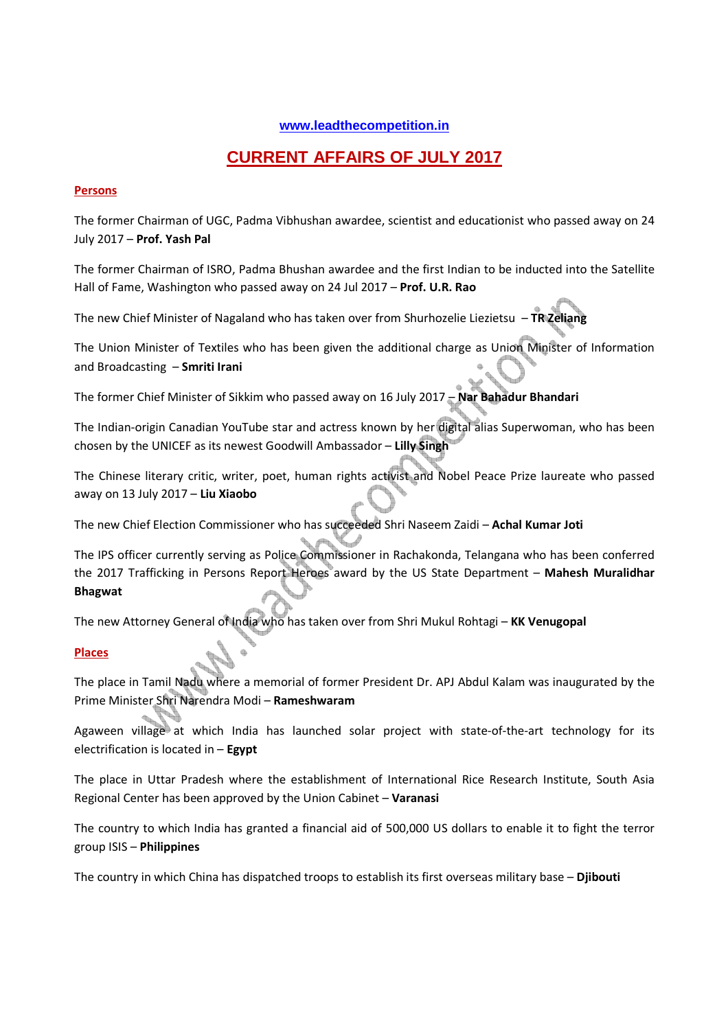## **www.leadthecompetition.in**

# **CURRENT AFFAIRS OF JULY 2017**

## **Persons**

The former Chairman of UGC, Padma Vibhushan awardee, scientist and educationist who passed away on 24 July 2017 – **Prof. Yash Pal**

The former Chairman of ISRO, Padma Bhushan awardee and the first Indian to be inducted into the Satellite Hall of Fame, Washington who passed away on 24 Jul 2017 – **Prof. U.R. Rao**

The new Chief Minister of Nagaland who has taken over from Shurhozelie Liezietsu – **TR Zeliang** 

The Union Minister of Textiles who has been given the additional charge as Union Minister of Information and Broadcasting – **Smriti Irani** 

The former Chief Minister of Sikkim who passed away on 16 July 2017 – **Nar Bahadur Bhandari** 

The Indian-origin Canadian YouTube star and actress known by her digital alias Superwoman, who has been chosen by the UNICEF as its newest Goodwill Ambassador – **Lilly Singh**

The Chinese literary critic, writer, poet, human rights activist and Nobel Peace Prize laureate who passed away on 13 July 2017 – **Liu Xiaobo**

The new Chief Election Commissioner who has succeeded Shri Naseem Zaidi – **Achal Kumar Joti** 

The IPS officer currently serving as Police Commissioner in Rachakonda, Telangana who has been conferred the 2017 Trafficking in Persons Report Heroes award by the US State Department – **Mahesh Muralidhar Bhagwat** 

The new Attorney General of India who has taken over from Shri Mukul Rohtagi – **KK Venugopal** 

## **Places**

The place in Tamil Nadu where a memorial of former President Dr. APJ Abdul Kalam was inaugurated by the Prime Minister Shri Narendra Modi – **Rameshwaram**

Agaween village at which India has launched solar project with state-of-the-art technology for its electrification is located in – **Egypt**

The place in Uttar Pradesh where the establishment of International Rice Research Institute, South Asia Regional Center has been approved by the Union Cabinet – **Varanasi** 

The country to which India has granted a financial aid of 500,000 US dollars to enable it to fight the terror group ISIS – **Philippines**

The country in which China has dispatched troops to establish its first overseas military base – **Djibouti**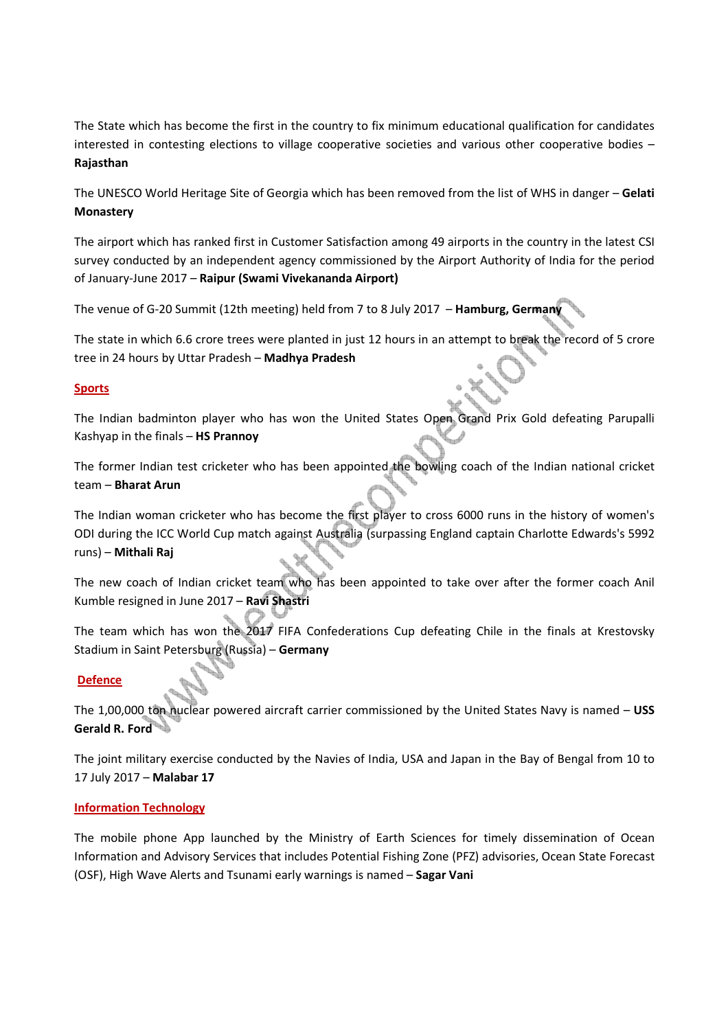The State which has become the first in the country to fix minimum educational qualification for candidates interested in contesting elections to village cooperative societies and various other cooperative bodies – **Rajasthan**

The UNESCO World Heritage Site of Georgia which has been removed from the list of WHS in danger – **Gelati Monastery**

The airport which has ranked first in Customer Satisfaction among 49 airports in the country in the latest CSI survey conducted by an independent agency commissioned by the Airport Authority of India for the period of January-June 2017 – **Raipur (Swami Vivekananda Airport)** 

The venue of G-20 Summit (12th meeting) held from 7 to 8 July 2017 – **Hamburg, Germany** 

The state in which 6.6 crore trees were planted in just 12 hours in an attempt to break the record of 5 crore tree in 24 hours by Uttar Pradesh – **Madhya Pradesh**

## **Sports**

The Indian badminton player who has won the United States Open Grand Prix Gold defeating Parupalli Kashyap in the finals – **HS Prannoy** 

The former Indian test cricketer who has been appointed the bowling coach of the Indian national cricket team – **Bharat Arun**

The Indian woman cricketer who has become the first player to cross 6000 runs in the history of women's ODI during the ICC World Cup match against Australia (surpassing England captain Charlotte Edwards's 5992 runs) – **Mithali Raj** 

The new coach of Indian cricket team who has been appointed to take over after the former coach Anil Kumble resigned in June 2017 – **Ravi Shastri** 

The team which has won the 2017 FIFA Confederations Cup defeating Chile in the finals at Krestovsky Stadium in Saint Petersburg (Russia) – **Germany**

## **Defence**

The 1,00,000 ton nuclear powered aircraft carrier commissioned by the United States Navy is named – **USS Gerald R. Ford** 

The joint military exercise conducted by the Navies of India, USA and Japan in the Bay of Bengal from 10 to 17 July 2017 – **Malabar 17** 

## **Information Technology**

The mobile phone App launched by the Ministry of Earth Sciences for timely dissemination of Ocean Information and Advisory Services that includes Potential Fishing Zone (PFZ) advisories, Ocean State Forecast (OSF), High Wave Alerts and Tsunami early warnings is named – **Sagar Vani**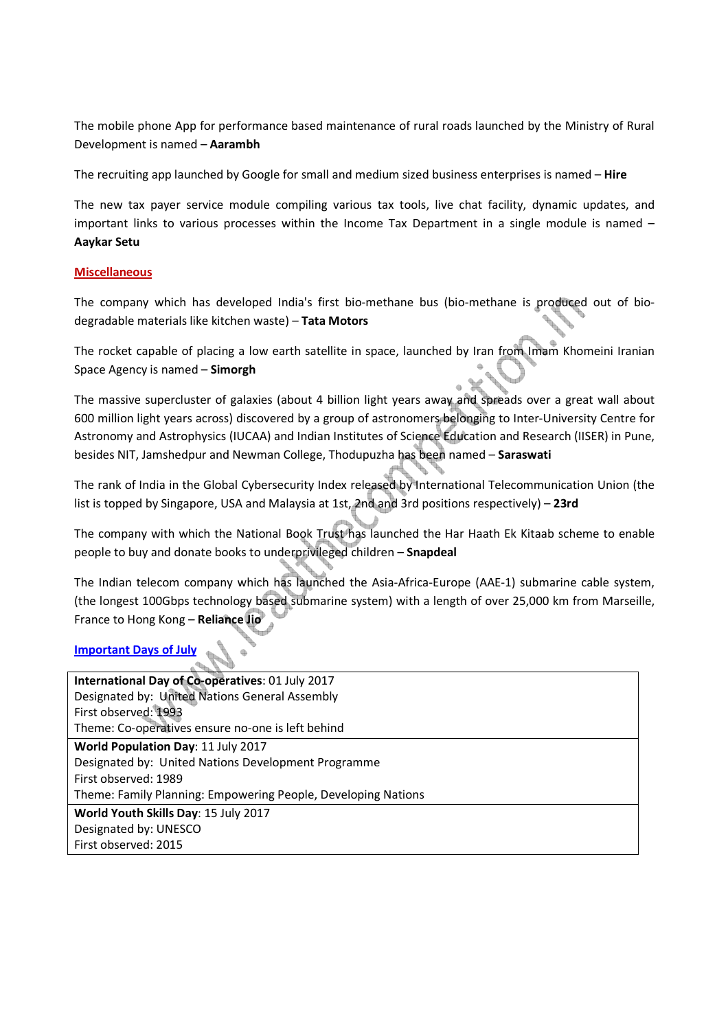The mobile phone App for performance based maintenance of rural roads launched by the Ministry of Rural Development is named – **Aarambh**

The recruiting app launched by Google for small and medium sized business enterprises is named – **Hire**

The new tax payer service module compiling various tax tools, live chat facility, dynamic updates, and important links to various processes within the Income Tax Department in a single module is named – **Aaykar Setu** 

## **Miscellaneous**

The company which has developed India's first bio-methane bus (bio-methane is produced out of biodegradable materials like kitchen waste) – **Tata Motors**

The rocket capable of placing a low earth satellite in space, launched by Iran from Imam Khomeini Iranian Space Agency is named – **Simorgh**

The massive supercluster of galaxies (about 4 billion light years away and spreads over a great wall about 600 million light years across) discovered by a group of astronomers belonging to Inter-University Centre for Astronomy and Astrophysics (IUCAA) and Indian Institutes of Science Education and Research (IISER) in Pune, besides NIT, Jamshedpur and Newman College, Thodupuzha has been named – **Saraswati** 

The rank of India in the Global Cybersecurity Index released by International Telecommunication Union (the list is topped by Singapore, USA and Malaysia at 1st, 2nd and 3rd positions respectively) – **23rd** 

The company with which the National Book Trust has launched the Har Haath Ek Kitaab scheme to enable people to buy and donate books to underprivileged children – **Snapdeal**

The Indian telecom company which has launched the Asia-Africa-Europe (AAE-1) submarine cable system, (the longest 100Gbps technology based submarine system) with a length of over 25,000 km from Marseille, France to Hong Kong – **Reliance Jio**

## **Important Days of July**

| International Day of Co-operatives: 01 July 2017              |
|---------------------------------------------------------------|
| Designated by: United Nations General Assembly                |
| First observed: 1993                                          |
| Theme: Co-operatives ensure no-one is left behind             |
| World Population Day: 11 July 2017                            |
| Designated by: United Nations Development Programme           |
| First observed: 1989                                          |
| Theme: Family Planning: Empowering People, Developing Nations |
| World Youth Skills Day: 15 July 2017                          |
| Designated by: UNESCO                                         |
| First observed: 2015                                          |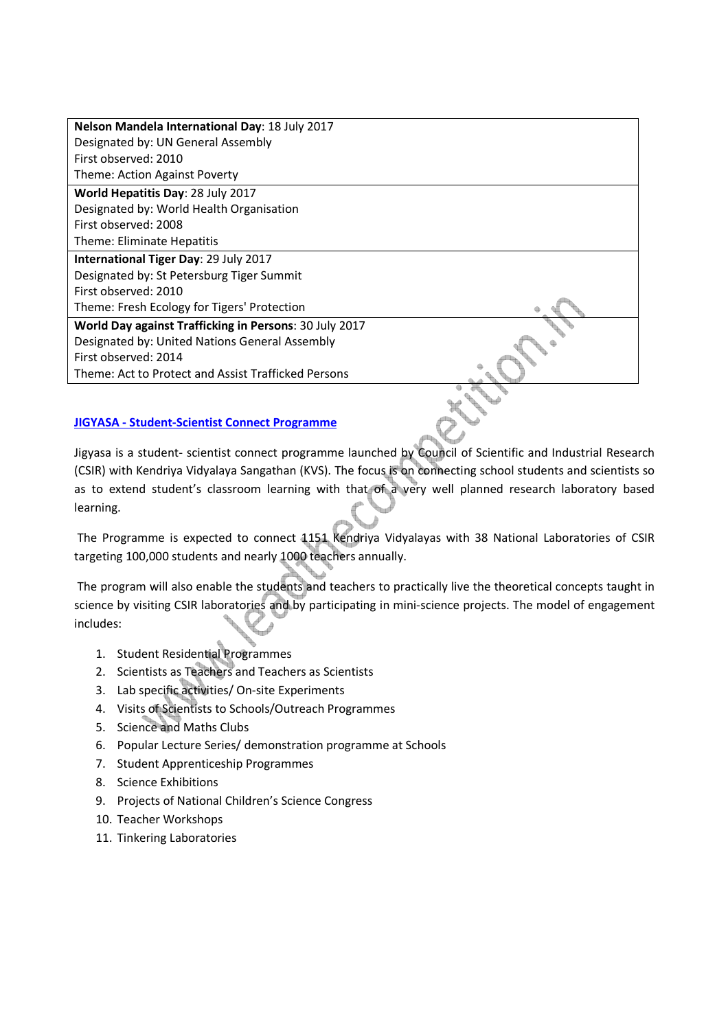| Nelson Mandela International Day: 18 July 2017         |  |
|--------------------------------------------------------|--|
| Designated by: UN General Assembly                     |  |
| First observed: 2010                                   |  |
| Theme: Action Against Poverty                          |  |
| <b>World Hepatitis Day: 28 July 2017</b>               |  |
| Designated by: World Health Organisation               |  |
| First observed: 2008                                   |  |
| Theme: Eliminate Hepatitis                             |  |
| International Tiger Day: 29 July 2017                  |  |
| Designated by: St Petersburg Tiger Summit              |  |
| First observed: 2010                                   |  |
| Theme: Fresh Ecology for Tigers' Protection            |  |
| World Day against Trafficking in Persons: 30 July 2017 |  |
| Designated by: United Nations General Assembly         |  |
| First observed: 2014                                   |  |
| Theme: Act to Protect and Assist Trafficked Persons    |  |
|                                                        |  |

## **JIGYASA - Student-Scientist Connect Programme**

Jigyasa is a student- scientist connect programme launched by Council of Scientific and Industrial Research (CSIR) with Kendriya Vidyalaya Sangathan (KVS). The focus is on connecting school students and scientists so as to extend student's classroom learning with that of a very well planned research laboratory based learning.

 The Programme is expected to connect 1151 Kendriya Vidyalayas with 38 National Laboratories of CSIR targeting 100,000 students and nearly 1000 teachers annually.

 The program will also enable the students and teachers to practically live the theoretical concepts taught in science by visiting CSIR laboratories and by participating in mini-science projects. The model of engagement includes:

- 1. Student Residential Programmes
- 2. Scientists as Teachers and Teachers as Scientists
- 3. Lab specific activities/ On-site Experiments
- 4. Visits of Scientists to Schools/Outreach Programmes
- 5. Science and Maths Clubs
- 6. Popular Lecture Series/ demonstration programme at Schools
- 7. Student Apprenticeship Programmes
- 8. Science Exhibitions
- 9. Projects of National Children's Science Congress
- 10. Teacher Workshops
- 11. Tinkering Laboratories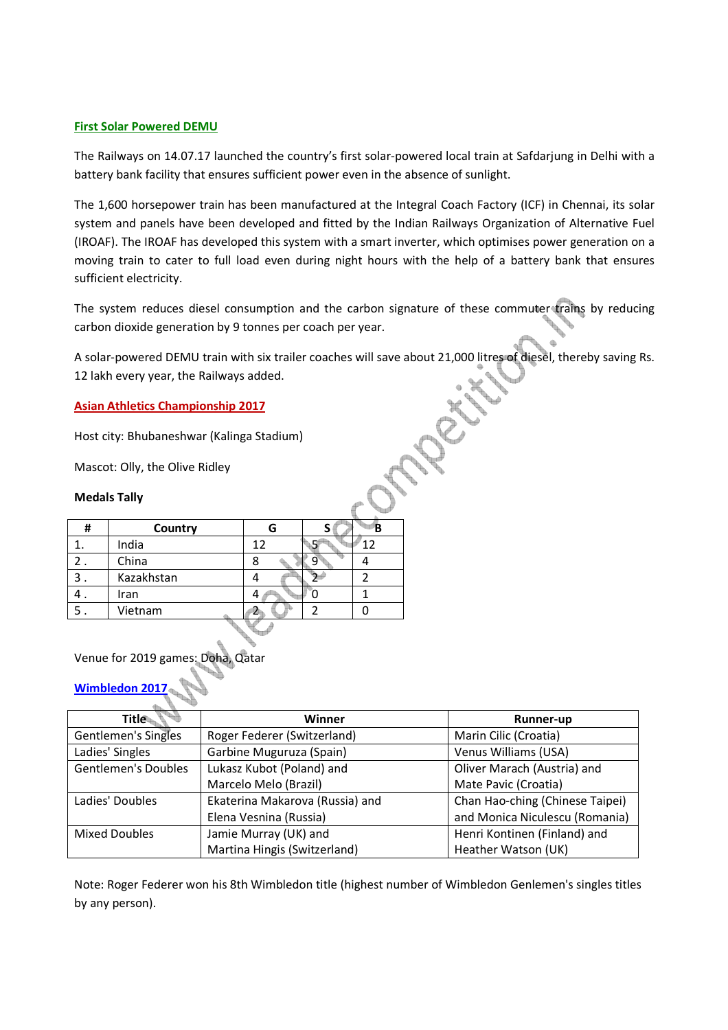## **First Solar Powered DEMU**

The Railways on 14.07.17 launched the country's first solar-powered local train at Safdarjung in Delhi with a battery bank facility that ensures sufficient power even in the absence of sunlight.

The 1,600 horsepower train has been manufactured at the Integral Coach Factory (ICF) in Chennai, its solar system and panels have been developed and fitted by the Indian Railways Organization of Alternative Fuel (IROAF). The IROAF has developed this system with a smart inverter, which optimises power generation on a moving train to cater to full load even during night hours with the help of a battery bank that ensures sufficient electricity.

The system reduces diesel consumption and the carbon signature of these commuter trains by reducing carbon dioxide generation by 9 tonnes per coach per year.

A solar-powered DEMU train with six trailer coaches will save about 21,000 litres of diesel, thereby saving Rs. 12 lakh every year, the Railways added.

#### **Asian Athletics Championship 2017**

Host city: Bhubaneshwar (Kalinga Stadium)

Mascot: Olly, the Olive Ridley

#### **Medals Tally**

| # | Country    |    |    |
|---|------------|----|----|
|   | India      | 12 | 15 |
|   | China      |    |    |
|   | Kazakhstan |    |    |
|   | Iran       |    |    |
|   | Vietnam    |    |    |
|   |            |    |    |

## Venue for 2019 games: Doha, Qatar

## **Wimbledon**

| Title                      | Winner                          | <b>Runner-up</b>                |
|----------------------------|---------------------------------|---------------------------------|
| Gentlemen's Singles        | Roger Federer (Switzerland)     | Marin Cilic (Croatia)           |
| Ladies' Singles            | Garbine Muguruza (Spain)        | Venus Williams (USA)            |
| <b>Gentlemen's Doubles</b> | Lukasz Kubot (Poland) and       | Oliver Marach (Austria) and     |
|                            | Marcelo Melo (Brazil)           | Mate Pavic (Croatia)            |
| Ladies' Doubles            | Ekaterina Makarova (Russia) and | Chan Hao-ching (Chinese Taipei) |
|                            | Elena Vesnina (Russia)          | and Monica Niculescu (Romania)  |
| <b>Mixed Doubles</b>       | Jamie Murray (UK) and           | Henri Kontinen (Finland) and    |
|                            | Martina Hingis (Switzerland)    | Heather Watson (UK)             |

Note: Roger Federer won his 8th Wimbledon title (highest number of Wimbledon Genlemen's singles titles by any person).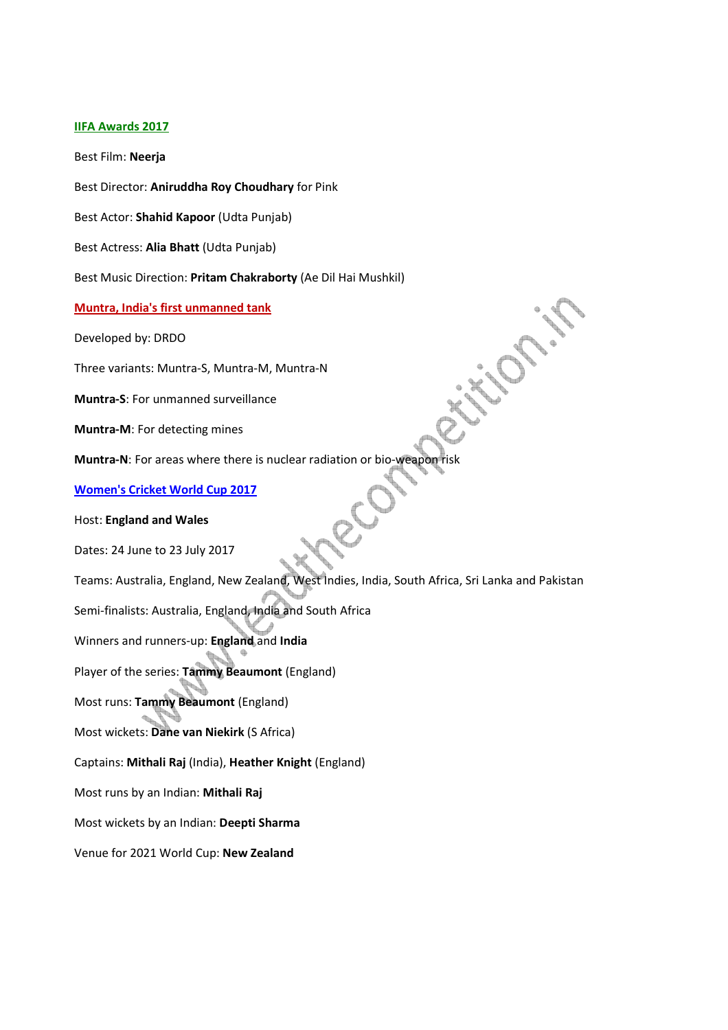#### **IIFA Awards 2017**

Best Film: **Neerja**

Best Director: **Aniruddha Roy Choudhary** for Pink

Best Actor: **Shahid Kapoor** (Udta Punjab)

Best Actress: **Alia Bhatt** (Udta Punjab)

Best Music Direction: **Pritam Chakraborty** (Ae Dil Hai Mushkil)

#### **Muntra, India's first unmanned tank**

Developed by: DRDO

Three variants: Muntra-S, Muntra-M, Muntra-N

**Muntra-S**: For unmanned surveillance

**Muntra-M**: For detecting mines

**Muntra-N**: For areas where there is nuclear radiation or bio-weapon risk

**Women's Cricket World Cup 2017**

#### Host: **England and Wales**

Dates: 24 June to 23 July 2017

Teams: Australia, England, New Zealand, West Indies, India, South Africa, Sri Lanka and Pakistan

Semi-finalists: Australia, England, India and South Africa

Winners and runners-up: **England** and **India**

Player of the series: **Tammy Beaumont** (England)

Most runs: **Tammy Beaumont** (England)

Most wickets: **Dane van Niekirk** (S Africa)

Captains: **Mithali Raj** (India), **Heather Knight** (England)

Most runs by an Indian: **Mithali Raj**

Most wickets by an Indian: **Deepti Sharma**

Venue for 2021 World Cup: **New Zealand**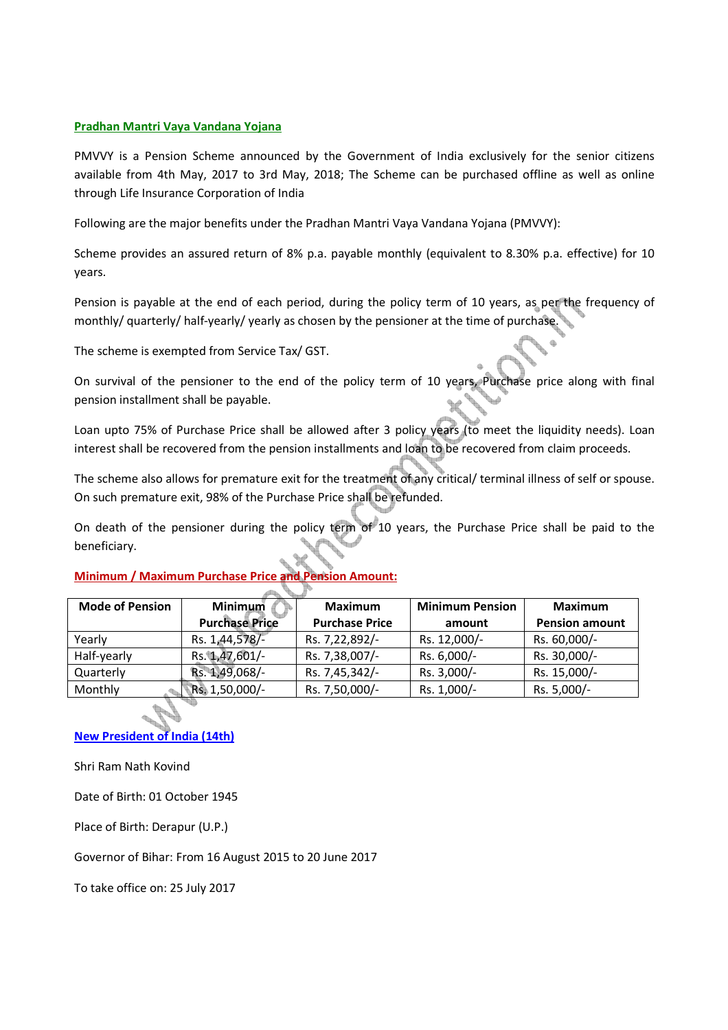## **Pradhan Mantri Vaya Vandana Yojana**

PMVVY is a Pension Scheme announced by the Government of India exclusively for the senior citizens available from 4th May, 2017 to 3rd May, 2018; The Scheme can be purchased offline as well as online through Life Insurance Corporation of India

Following are the major benefits under the Pradhan Mantri Vaya Vandana Yojana (PMVVY):

Scheme provides an assured return of 8% p.a. payable monthly (equivalent to 8.30% p.a. effective) for 10 years.

Pension is payable at the end of each period, during the policy term of 10 years, as per the frequency of monthly/ quarterly/ half-yearly/ yearly as chosen by the pensioner at the time of purchase.

The scheme is exempted from Service Tax/ GST.

On survival of the pensioner to the end of the policy term of 10 years, Purchase price along with final pension installment shall be payable.

Loan upto 75% of Purchase Price shall be allowed after 3 policy years (to meet the liquidity needs). Loan interest shall be recovered from the pension installments and loan to be recovered from claim proceeds.

The scheme also allows for premature exit for the treatment of any critical/ terminal illness of self or spouse. On such premature exit, 98% of the Purchase Price shall be refunded.

On death of the pensioner during the policy term of 10 years, the Purchase Price shall be paid to the beneficiary.

#### **Mode of Pension Minimum Purchase Price Maximum Purchase Price Minimum Pension amount Maximum Pension amount**  Yearly Rs. 1,44,578/- Rs. 7,22,892/- Rs. 12,000/- Rs. 60,000/-Half-yearly Rs. 1,47,601/- Rs. 7,38,007/- Rs. 6,000/- Rs. 30,000/-Quarterly Rs. 1,49,068/- Rs. 7,45,342/- Rs. 3,000/- Rs. 15,000/- Monthly Rs. 1,50,000/- Rs. 7,50,000/- Rs. 1,000/- Rs. 5,000/-

## **Minimum / Maximum Purchase Price and Pension Amount:**

**New President of India (14th)**

Shri Ram Nath Kovind

Date of Birth: 01 October 1945

Place of Birth: Derapur (U.P.)

Governor of Bihar: From 16 August 2015 to 20 June 2017

To take office on: 25 July 2017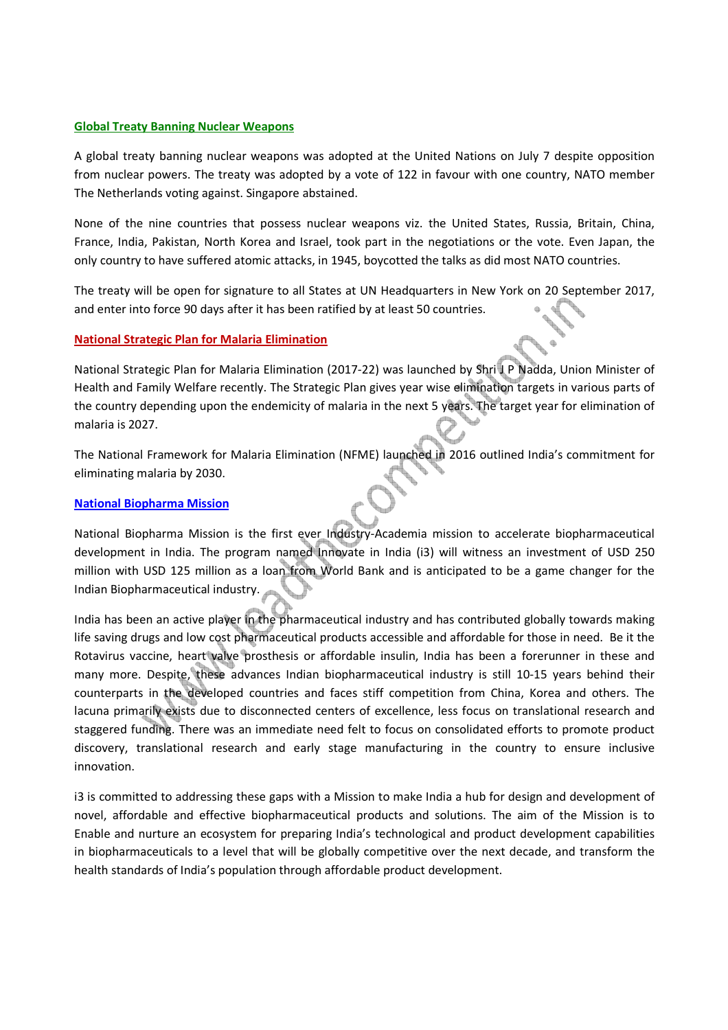#### **Global Treaty Banning Nuclear Weapons**

A global treaty banning nuclear weapons was adopted at the United Nations on July 7 despite opposition from nuclear powers. The treaty was adopted by a vote of 122 in favour with one country, NATO member The Netherlands voting against. Singapore abstained.

None of the nine countries that possess nuclear weapons viz. the United States, Russia, Britain, China, France, India, Pakistan, North Korea and Israel, took part in the negotiations or the vote. Even Japan, the only country to have suffered atomic attacks, in 1945, boycotted the talks as did most NATO countries.

The treaty will be open for signature to all States at UN Headquarters in New York on 20 September 2017, and enter into force 90 days after it has been ratified by at least 50 countries.

## **National Strategic Plan for Malaria Elimination**

National Strategic Plan for Malaria Elimination (2017-22) was launched by Shri J P Nadda, Union Minister of Health and Family Welfare recently. The Strategic Plan gives year wise elimination targets in various parts of the country depending upon the endemicity of malaria in the next 5 years. The target year for elimination of malaria is 2027.

The National Framework for Malaria Elimination (NFME) launched in 2016 outlined India's commitment for eliminating malaria by 2030.

#### **National Biopharma Mission**

National Biopharma Mission is the first ever Industry-Academia mission to accelerate biopharmaceutical development in India. The program named Innovate in India (i3) will witness an investment of USD 250 million with USD 125 million as a loan from World Bank and is anticipated to be a game changer for the Indian Biopharmaceutical industry.

India has been an active player in the pharmaceutical industry and has contributed globally towards making life saving drugs and low cost pharmaceutical products accessible and affordable for those in need. Be it the Rotavirus vaccine, heart valve prosthesis or affordable insulin, India has been a forerunner in these and many more. Despite, these advances Indian biopharmaceutical industry is still 10-15 years behind their counterparts in the developed countries and faces stiff competition from China, Korea and others. The lacuna primarily exists due to disconnected centers of excellence, less focus on translational research and staggered funding. There was an immediate need felt to focus on consolidated efforts to promote product discovery, translational research and early stage manufacturing in the country to ensure inclusive innovation.

i3 is committed to addressing these gaps with a Mission to make India a hub for design and development of novel, affordable and effective biopharmaceutical products and solutions. The aim of the Mission is to Enable and nurture an ecosystem for preparing India's technological and product development capabilities in biopharmaceuticals to a level that will be globally competitive over the next decade, and transform the health standards of India's population through affordable product development.